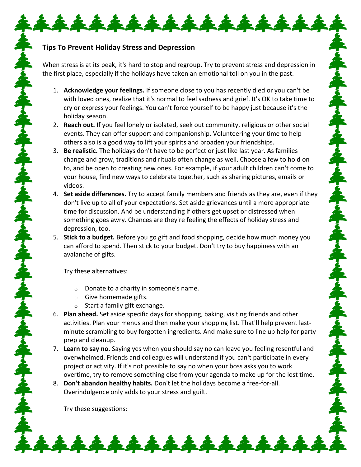## **Tips To Prevent Holiday Stress and Depression**

When stress is at its peak, it's hard to stop and regroup. Try to prevent stress and depression in the first place, especially if the holidays have taken an emotional toll on you in the past.

\*\*\*\*\*\*\*\*\*\*\*\*\*\*\*

- 1. **Acknowledge your feelings.** If someone close to you has recently died or you can't be with loved ones, realize that it's normal to feel sadness and grief. It's OK to take time to cry or express your feelings. You can't force yourself to be happy just because it's the holiday season.
- 2. **Reach out.** If you feel lonely or isolated, seek out community, religious or other social events. They can offer support and companionship. Volunteering your time to help others also is a good way to lift your spirits and broaden your friendships.
- 3. **Be realistic.** The holidays don't have to be perfect or just like last year. As families change and grow, traditions and rituals often change as well. Choose a few to hold on to, and be open to creating new ones. For example, if your adult children can't come to your house, find new ways to celebrate together, such as sharing pictures, emails or videos.
- 4. **Set aside differences.** Try to accept family members and friends as they are, even if they don't live up to all of your expectations. Set aside grievances until a more appropriate time for discussion. And be understanding if others get upset or distressed when something goes awry. Chances are they're feeling the effects of holiday stress and depression, too.
- 5. **Stick to a budget.** Before you go gift and food shopping, decide how much money you can afford to spend. Then stick to your budget. Don't try to buy happiness with an avalanche of gifts.

Try these alternatives:

多年多年多年多年多年多年多年多年多年多年多年多年多年多年

- o Donate to a charity in someone's name.
- o Give homemade gifts.
- $\circ$  Start a family gift exchange.
- 6. **Plan ahead.** Set aside specific days for shopping, baking, visiting friends and other activities. Plan your menus and then make your shopping list. That'll help prevent lastminute scrambling to buy forgotten ingredients. And make sure to line up help for party prep and cleanup.

ふくろんてんてんてん

- 7. **Learn to say no.** Saying yes when you should say no can leave you feeling resentful and overwhelmed. Friends and colleagues will understand if you can't participate in every project or activity. If it's not possible to say no when your boss asks you to work overtime, try to remove something else from your agenda to make up for the lost time.
- 8. **Don't abandon healthy habits.** Don't let the holidays become a free-for-all. Overindulgence only adds to your stress and guilt.

\*\*\*\*\*\*\*\*\*\*\*\*\*

Try these suggestions: